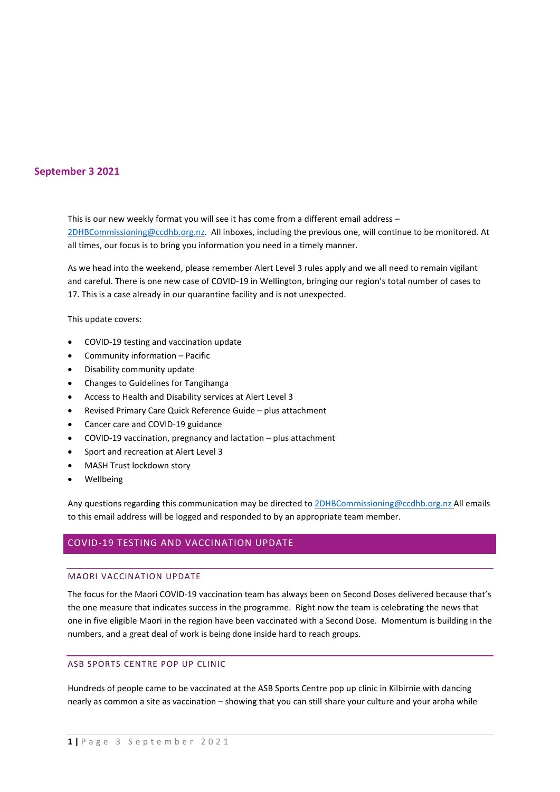## **September 3 2021**

This is our new weekly format you will see it has come from a different email address – [2DHBCommissioning@ccdhb.org.nz.](mailto:2DHBCommissioning@ccdhb.org.nz) All inboxes, including the previous one, will continue to be monitored. At all times, our focus is to bring you information you need in a timely manner.

As we head into the weekend, please remember Alert Level 3 rules apply and we all need to remain vigilant and careful. There is one new case of COVID-19 in Wellington, bringing our region's total number of cases to 17. This is a case already in our quarantine facility and is not unexpected.

This update covers:

- COVID-19 testing and vaccination update
- Community information Pacific
- Disability community update
- Changes to Guidelines for Tangihanga
- Access to Health and Disability services at Alert Level 3
- Revised Primary Care Quick Reference Guide plus attachment
- Cancer care and COVID-19 guidance
- COVID-19 vaccination, pregnancy and lactation plus attachment
- Sport and recreation at Alert Level 3
- MASH Trust lockdown story
- Wellbeing

Any questions regarding this communication may be directed t[o 2DHBCommissioning@ccdhb.org.nz](mailto:2DHBCommissioning@ccdhb.org.nz) All emails to this email address will be logged and responded to by an appropriate team member.

### COVID-19 TESTING AND VACCINATION UPDATE

#### MAORI VACCINATION UPDATE

The focus for the Maori COVID-19 vaccination team has always been on Second Doses delivered because that's the one measure that indicates success in the programme. Right now the team is celebrating the news that one in five eligible Maori in the region have been vaccinated with a Second Dose. Momentum is building in the numbers, and a great deal of work is being done inside hard to reach groups.

### ASB SPORTS CENTRE POP UP CLINIC

Hundreds of people came to be vaccinated at the ASB Sports Centre pop up clinic in Kilbirnie with dancing nearly as common a site as vaccination – showing that you can still share your culture and your aroha while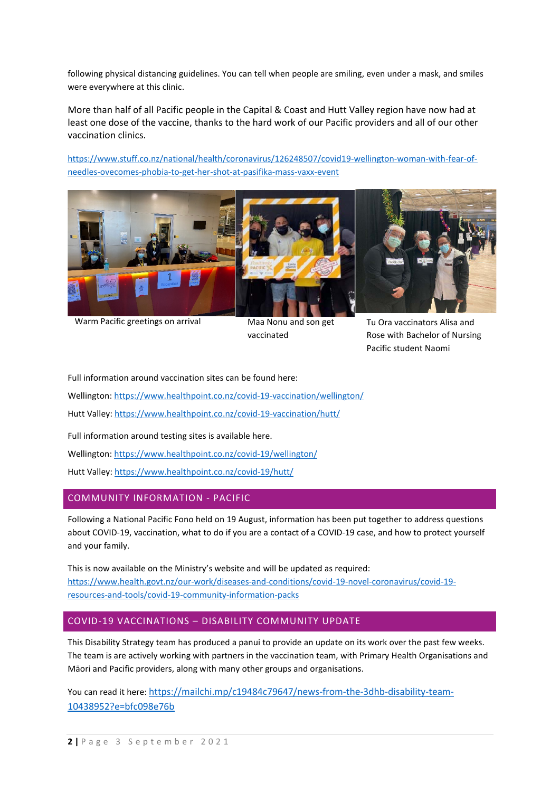following physical distancing guidelines. You can tell when people are smiling, even under a mask, and smiles were everywhere at this clinic.

More than half of all Pacific people in the Capital & Coast and Hutt Valley region have now had at least one dose of the vaccine, thanks to the hard work of our Pacific providers and all of our other vaccination clinics.

[https://www.stuff.co.nz/national/health/coronavirus/126248507/covid19-wellington-woman-with-fear-of](https://www.stuff.co.nz/national/health/coronavirus/126248507/covid19-wellington-woman-with-fear-of-needles-ovecomes-phobia-to-get-her-shot-at-pasifika-mass-vaxx-event)[needles-ovecomes-phobia-to-get-her-shot-at-pasifika-mass-vaxx-event](https://www.stuff.co.nz/national/health/coronavirus/126248507/covid19-wellington-woman-with-fear-of-needles-ovecomes-phobia-to-get-her-shot-at-pasifika-mass-vaxx-event)



Warm Pacific greetings on arrival Maa Nonu and son get

vaccinated

Tu Ora vaccinators Alisa and Rose with Bachelor of Nursing Pacific student Naomi

Full information around vaccination sites can be found here:

Wellington[: https://www.healthpoint.co.nz/covid-19-vaccination/wellington/](https://www.healthpoint.co.nz/covid-19-vaccination/wellington/)

Hutt Valley:<https://www.healthpoint.co.nz/covid-19-vaccination/hutt/>

Full information around testing sites is available here.

Wellington[: https://www.healthpoint.co.nz/covid-19/wellington/](https://www.healthpoint.co.nz/covid-19/wellington/)

Hutt Valley:<https://www.healthpoint.co.nz/covid-19/hutt/>

## COMMUNITY INFORMATION - PACIFIC

Following a National Pacific Fono held on 19 August, information has been put together to address questions about COVID-19, vaccination, what to do if you are a contact of a COVID-19 case, and how to protect yourself and your family.

This is now available on the [Ministry's website](https://www.health.govt.nz/our-work/diseases-and-conditions/covid-19-novel-coronavirus/covid-19-resources-and-tools/covid-19-community-information-packs) and will be updated as required: [https://www.health.govt.nz/our-work/diseases-and-conditions/covid-19-novel-coronavirus/covid-19](https://www.health.govt.nz/our-work/diseases-and-conditions/covid-19-novel-coronavirus/covid-19-resources-and-tools/covid-19-community-information-packs) [resources-and-tools/covid-19-community-information-packs](https://www.health.govt.nz/our-work/diseases-and-conditions/covid-19-novel-coronavirus/covid-19-resources-and-tools/covid-19-community-information-packs)

## COVID-19 VACCINATIONS – DISABILITY COMMUNITY UPDATE

This Disability Strategy team has produced a panui to provide an update on its work over the past few weeks. The team is are actively working with partners in the vaccination team, with Primary Health Organisations and Māori and Pacific providers, along with many other groups and organisations.

You can read it here: https://mailchi.mp/c19484c79647/news-from-the-3dhb-disability-team-10438952?e=bfc098e76b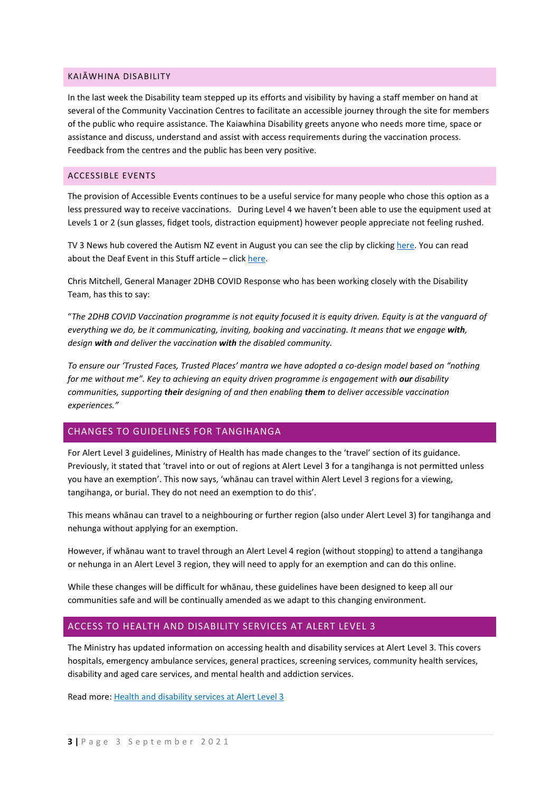#### KAIĀWHINA DISABILITY

In the last week the Disability team stepped up its efforts and visibility by having a staff member on hand at several of the Community Vaccination Centres to facilitate an accessible journey through the site for members of the public who require assistance. The Kaiawhina Disability greets anyone who needs more time, space or assistance and discuss, understand and assist with access requirements during the vaccination process. Feedback from the centres and the public has been very positive.

### ACCESSIBLE EVENTS

The provision of Accessible Events continues to be a useful service for many people who chose this option as a less pressured way to receive vaccinations. During Level 4 we haven't been able to use the equipment used at Levels 1 or 2 (sun glasses, fidget tools, distraction equipment) however people appreciate not feeling rushed.

TV 3 News hub covered the Autism NZ event in August you can see the clip by clicking [here.](https://www.newshub.co.nz/home/new-zealand/2021/08/coronavirus-kiwis-with-autism-get-covid-19-vaccine-at-calming-event-tailored-just-for-them.html?fbclid=IwAR3I-8VMFAPy1LUdORC8x2gxGMQ9JQO13Jhd0ZdC1cOd_aDu2wirivou0B8) You can read about the Deaf Event in this Stuff article – clic[k here.](https://www.stuff.co.nz/dominion-post/126007650/hopes-accessible-covid19-events-will-be-catalyst-for-improved-healthcare-services-for-the-disabled)

Chris Mitchell, General Manager 2DHB COVID Response who has been working closely with the Disability Team, has this to say:

"*The 2DHB COVID Vaccination programme is not equity focused it is equity driven. Equity is at the vanguard of everything we do, be it communicating, inviting, booking and vaccinating. It means that we engage with, design with and deliver the vaccination with the disabled community.* 

*To ensure our 'Trusted Faces, Trusted Places' mantra we have adopted a co-design model based on "nothing for me without me". Key to achieving an equity driven programme is engagement with our disability communities, supporting their designing of and then enabling them to deliver accessible vaccination experiences."*

## CHANGES TO GUIDELINES FOR TANGIHANGA

Fo[r Alert Level 3 guidelines,](https://urldefense.com/v3/__https:/www.health.govt.nz/our-work/diseases-and-conditions/covid-19-novel-coronavirus/covid-19-information-specific-audiences/covid-19-deaths-funerals-and-tangihanga/guidance-alert-level-3-deaths-funerals-and-tangihanga__;!!A3teau8g8Q!A0ewa_RO8tz3bAJntIG9KzIBYqqEV17qKZkRaAuFs0xIAmaNfup_yp2kyUNRoAGXNs1K$) Ministry of Health has made changes to the 'travel' section of its guidance. Previously, it stated that 'travel into or out of regions at Alert Level 3 for a tangihanga is not permitted unless you have an exemption'. This now says, 'whānau can travel within Alert Level 3 regions for a viewing, tangihanga, or burial. They do not need an exemption to do this'.

This means whānau can travel to a neighbouring or further region (also under Alert Level 3) for tangihanga and nehunga without applying for an exemption.

However, if whānau want to travel through an Alert Level 4 region (without stopping) to attend a tangihanga or nehunga in an Alert Level 3 region, they will need to apply for an exemption and can do this [online.](https://urldefense.com/v3/__https:/www.health.govt.nz/our-work/diseases-and-conditions/covid-19-novel-coronavirus/covid-19-health-advice-public/covid-19-travel-within-new-zealand__;!!A3teau8g8Q!A0ewa_RO8tz3bAJntIG9KzIBYqqEV17qKZkRaAuFs0xIAmaNfup_yp2kyUNRoBhFHl5c$)

While these changes will be difficult for whānau, these guidelines have been designed to keep all our communities safe and will be continually amended as we adapt to this changing environment.

## ACCESS TO HEALTH AND DISABILITY SERVICES AT ALERT LEVEL 3

The Ministry has updated information on accessing health and disability services at Alert Level 3. This covers hospitals, emergency ambulance services, general practices, screening services, community health services, disability and aged care services, and mental health and addiction services.

Read more[: Health and disability services at Alert Level 3](https://www.health.govt.nz/our-work/diseases-and-conditions/covid-19-novel-coronavirus/covid-19-current-situation/health-and-disability-services-alert-level-3)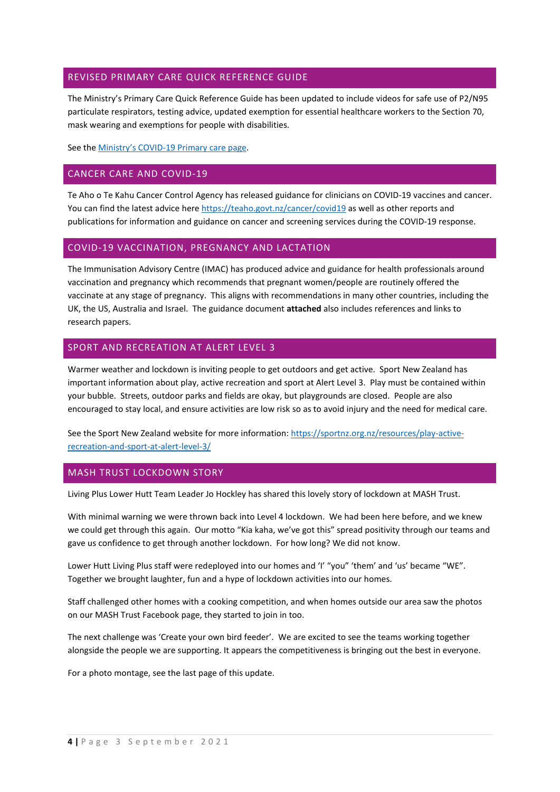## REVISED PRIMARY CARE QUICK REFERENCE GUIDE

The Ministry's Primary Care Quick Reference Guide has been updated to include videos for safe use of P2/N95 particulate respirators, testing advice, updated exemption for essential healthcare workers to the Section 70, mask wearing and exemptions for people with disabilities.

See th[e Ministry's COVID-19 Primary care](https://www.health.govt.nz/our-work/diseases-and-conditions/covid-19-novel-coronavirus/covid-19-information-health-professionals/covid-19-primary-care) page.

## CANCER CARE AND COVID-19

Te Aho o Te Kahu Cancer Control Agency has released guidance for clinicians on COVID-19 vaccines and cancer. You can find the latest advice here <https://teaho.govt.nz/cancer/covid19> as well as other reports and publications for information and guidance on cancer and screening services during the COVID-19 response.

### COVID-19 VACCINATION, PREGNANCY AND LACTATION

The Immunisation Advisory Centre (IMAC) has produced advice and guidance for health professionals around vaccination and pregnancy which recommends that pregnant women/people are routinely offered the vaccinate at any stage of pregnancy. This aligns with recommendations in many other countries, including the UK, the US, Australia and Israel. The guidance document **attached** also includes references and links to research papers.

### SPORT AND RECREATION AT ALERT LEVEL 3

Warmer weather and lockdown is inviting people to get outdoors and get active. Sport New Zealand has important information about play, active recreation and sport at Alert Level 3. Play must be contained within your bubble. Streets, outdoor parks and fields are okay, but playgrounds are closed. People are also encouraged to stay local, and ensure activities are low risk so as to avoid injury and the need for medical care.

See the Sport New Zealand website for more information[: https://sportnz.org.nz/resources/play-active](https://sportnz.org.nz/resources/play-active-recreation-and-sport-at-alert-level-3/)[recreation-and-sport-at-alert-level-3/](https://sportnz.org.nz/resources/play-active-recreation-and-sport-at-alert-level-3/)

## MASH TRUST LOCKDOWN STORY

Living Plus Lower Hutt Team Leader Jo Hockley has shared this lovely story of lockdown at MASH Trust.

With minimal warning we were thrown back into Level 4 lockdown. We had been here before, and we knew we could get through this again. Our motto "Kia kaha, we've got this" spread positivity through our teams and gave us confidence to get through another lockdown. For how long? We did not know.

Lower Hutt Living Plus staff were redeployed into our homes and 'I' "you" 'them' and 'us' became "WE". Together we brought laughter, fun and a hype of lockdown activities into our homes.

Staff challenged other homes with a cooking competition, and when homes outside our area saw the photos on our MASH Trust Facebook page, they started to join in too.

The next challenge was 'Create your own bird feeder'. We are excited to see the teams working together alongside the people we are supporting. It appears the competitiveness is bringing out the best in everyone.

For a photo montage, see the last page of this update.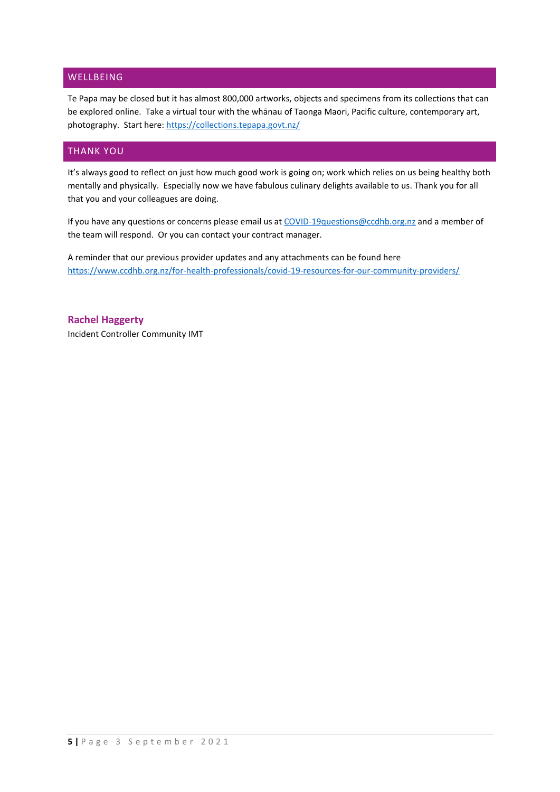## WELLBEING

Te Papa may be closed but it has almost 800,000 artworks, objects and specimens from its collections that can be explored online. Take a virtual tour with the whānau of Taonga Maori, Pacific culture, contemporary art, photography. Start here:<https://collections.tepapa.govt.nz/>

## THANK YOU

It's always good to reflect on just how much good work is going on; work which relies on us being healthy both mentally and physically. Especially now we have fabulous culinary delights available to us. Thank you for all that you and your colleagues are doing.

If you have any questions or concerns please email us at [COVID-19questions@ccdhb.org.nz](mailto:COVID-19questions@ccdhb.org.nz) and a member of the team will respond. Or you can contact your contract manager.

A reminder that our previous provider updates and any attachments can be found here <https://www.ccdhb.org.nz/for-health-professionals/covid-19-resources-for-our-community-providers/>

**Rachel Haggerty**  Incident Controller Community IMT